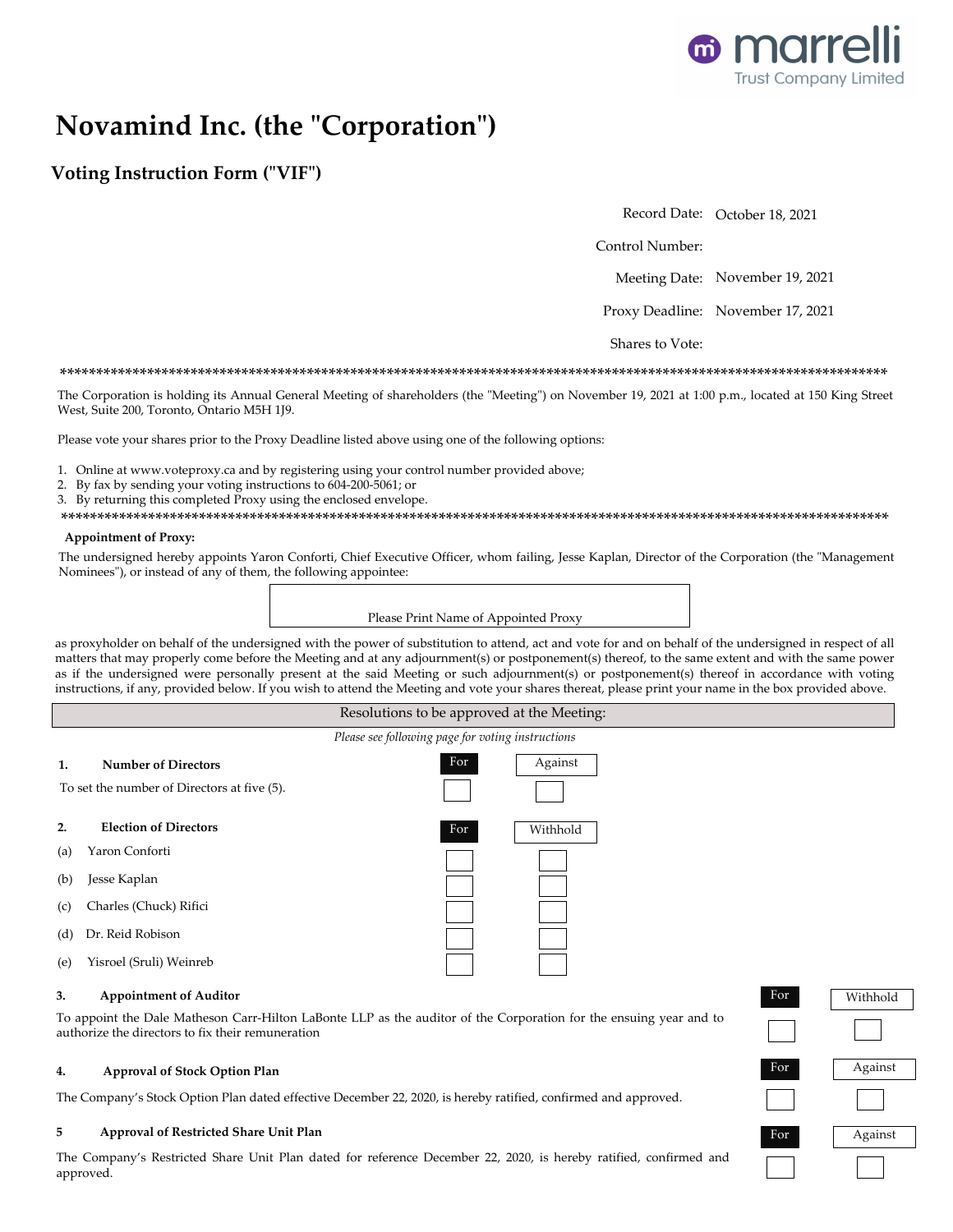

# Novamind Inc. (the "Corporation")

# **Voting Instruction Form ("VIF")**

Record Date: October 18, 2021

Control Number:

Meeting Date: November 19, 2021

Proxy Deadline: November 17, 2021

Shares to Vote:

### 

The Corporation is holding its Annual General Meeting of shareholders (the "Meeting") on November 19, 2021 at 1:00 p.m., located at 150 King Street West, Suite 200, Toronto, Ontario M5H 1J9.

Please vote your shares prior to the Proxy Deadline listed above using one of the following options:

1. Online at www.voteproxy.ca and by registering using your control number provided above;

- 2. By fax by sending your voting instructions to 604-200-5061; or
- 3. By returning this completed Proxy using the enclosed envelope.
- 

### **Appointment of Proxy:**

The undersigned hereby appoints Yaron Conforti, Chief Executive Officer, whom failing, Jesse Kaplan, Director of the Corporation (the "Management Nominees"), or instead of any of them, the following appointee:

Please Print Name of Appointed Proxy

as proxyholder on behalf of the undersigned with the power of substitution to attend, act and vote for and on behalf of the undersigned in respect of all matters that may properly come before the Meeting and at any adjournment(s) or postponement(s) thereof, to the same extent and with the same power as if the undersigned were personally present at the said Meeting or such adjournment(s) or postponement(s) thereof in accordance with voting instructions, if any, provided below. If you wish to attend the Meeting and vote your shares thereat, please print your name in the box provided above.

### Resolutions to be approved at the Meeting: Please see following page for voting instructions For Against **Number of Directors**  $\mathbf{1}$ . To set the number of Directors at five (5). **Election of Directors**  $2.$ Withhold For Yaron Conforti  $(a)$ Jesse Kaplan  $(b)$ Charles (Chuck) Rifici  $(c)$ Dr. Reid Robison  $(d)$ Yisroel (Sruli) Weinreb  $(e)$

#### **Appointment of Auditor** 3.

To appoint the Dale Matheson Carr-Hilton LaBonte LLP as the auditor of the Corporation for the ensuing year and to authorize the directors to fix their remuneration

#### 4. **Approval of Stock Option Plan**

The Company's Stock Option Plan dated effective December 22, 2020, is hereby ratified, confirmed and approved.

#### 5 Approval of Restricted Share Unit Plan

The Company's Restricted Share Unit Plan dated for reference December 22, 2020, is hereby ratified, confirmed and approved.